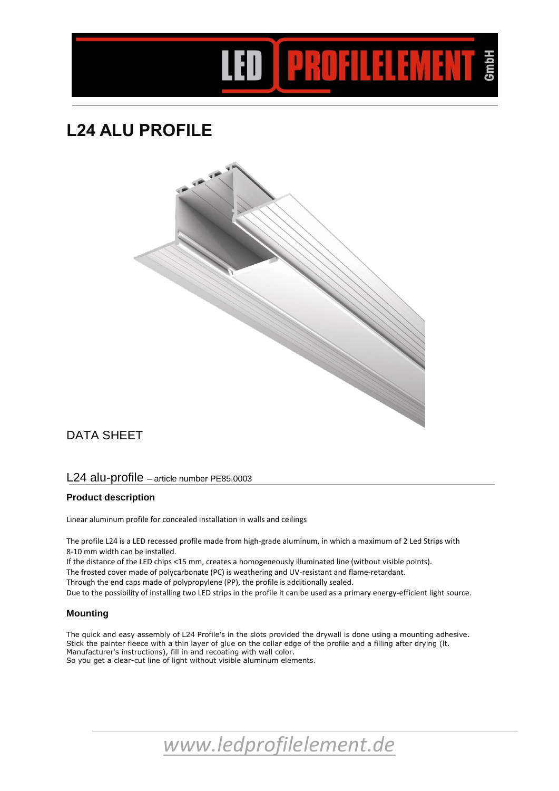

# **L24 ALU PROFILE**



# DATA SHEET

## L24 alu-profile – article number PE85.0003

## **Product description**

Linear aluminum profile for concealed installation in walls and ceilings

The profile L24 is a LED recessed profile made from high-grade aluminum, in which a maximum of 2 Led Strips with 8-10 mm width can be installed.

If the distance of the LED chips <15 mm, creates a homogeneously illuminated line (without visible points). The frosted cover made of polycarbonate (PC) is weathering and UV-resistant and flame-retardant. Through the end caps made of polypropylene (PP), the profile is additionally sealed. Due to the possibility of installing two LED strips in the profile it can be used as a primary energy-efficient light source.

#### **Mounting**

The quick and easy assembly of L24 Profile's in the slots provided the drywall is done using a mounting adhesive. Stick the painter fleece with a thin layer of glue on the collar edge of the profile and a filling after drying (lt. Manufacturer's instructions), fill in and recoating with wall color. So you get a clear-cut line of light without visible aluminum elements.